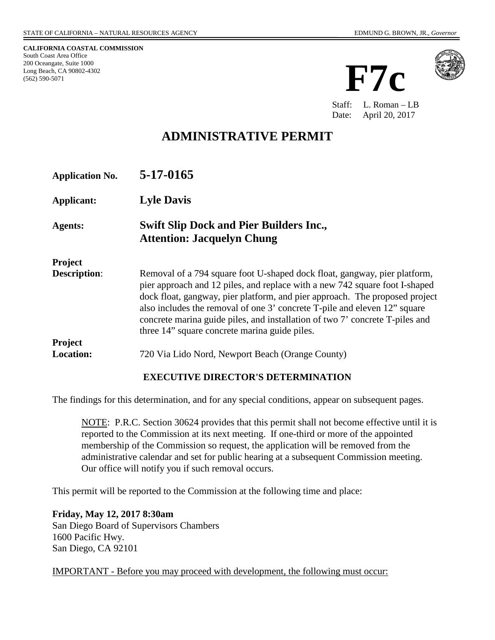**CALIFORNIA COASTAL COMMISSION** South Coast Area Office 200 Oceangate, Suite 1000 Long Beach, CA 90802-4302 (562) 590-5071





Staff: L. Roman – LB Date: April 20, 2017

# **ADMINISTRATIVE PERMIT**

| <b>Application No.</b> | 5-17-0165                                                                                                                                                                                                                                                                                                                                                                                                                                             |
|------------------------|-------------------------------------------------------------------------------------------------------------------------------------------------------------------------------------------------------------------------------------------------------------------------------------------------------------------------------------------------------------------------------------------------------------------------------------------------------|
| <b>Applicant:</b>      | <b>Lyle Davis</b>                                                                                                                                                                                                                                                                                                                                                                                                                                     |
| Agents:                | <b>Swift Slip Dock and Pier Builders Inc.,</b><br><b>Attention: Jacquelyn Chung</b>                                                                                                                                                                                                                                                                                                                                                                   |
| <b>Project</b>         |                                                                                                                                                                                                                                                                                                                                                                                                                                                       |
| <b>Description:</b>    | Removal of a 794 square foot U-shaped dock float, gangway, pier platform,<br>pier approach and 12 piles, and replace with a new 742 square foot I-shaped<br>dock float, gangway, pier platform, and pier approach. The proposed project<br>also includes the removal of one 3' concrete T-pile and eleven 12" square<br>concrete marina guide piles, and installation of two 7' concrete T-piles and<br>three 14" square concrete marina guide piles. |
| <b>Project</b>         |                                                                                                                                                                                                                                                                                                                                                                                                                                                       |
| <b>Location:</b>       | 720 Via Lido Nord, Newport Beach (Orange County)                                                                                                                                                                                                                                                                                                                                                                                                      |

### **EXECUTIVE DIRECTOR'S DETERMINATION**

The findings for this determination, and for any special conditions, appear on subsequent pages.

NOTE: P.R.C. Section 30624 provides that this permit shall not become effective until it is reported to the Commission at its next meeting. If one-third or more of the appointed membership of the Commission so request, the application will be removed from the administrative calendar and set for public hearing at a subsequent Commission meeting. Our office will notify you if such removal occurs.

This permit will be reported to the Commission at the following time and place:

**Friday, May 12, 2017 8:30am**  San Diego Board of Supervisors Chambers 1600 Pacific Hwy. San Diego, CA 92101

IMPORTANT - Before you may proceed with development, the following must occur: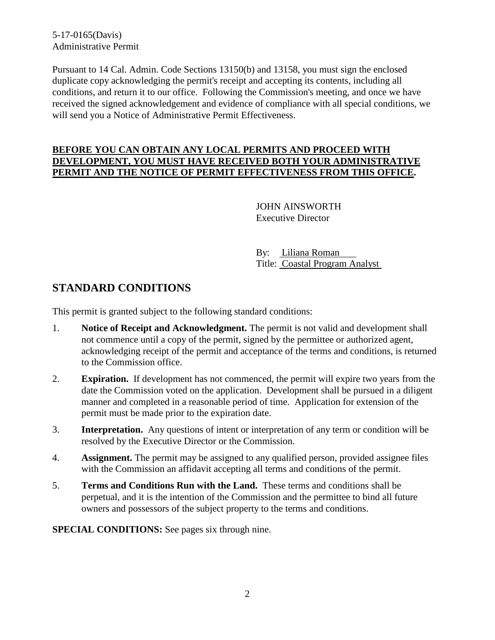5-17-0165(Davis) Administrative Permit

Pursuant to 14 Cal. Admin. Code Sections 13150(b) and 13158, you must sign the enclosed duplicate copy acknowledging the permit's receipt and accepting its contents, including all conditions, and return it to our office. Following the Commission's meeting, and once we have received the signed acknowledgement and evidence of compliance with all special conditions, we will send you a Notice of Administrative Permit Effectiveness.

### **BEFORE YOU CAN OBTAIN ANY LOCAL PERMITS AND PROCEED WITH DEVELOPMENT, YOU MUST HAVE RECEIVED BOTH YOUR ADMINISTRATIVE PERMIT AND THE NOTICE OF PERMIT EFFECTIVENESS FROM THIS OFFICE.**

 JOHN AINSWORTH Executive Director

 By: Liliana Roman Title: Coastal Program Analyst

## **STANDARD CONDITIONS**

This permit is granted subject to the following standard conditions:

- 1. **Notice of Receipt and Acknowledgment.** The permit is not valid and development shall not commence until a copy of the permit, signed by the permittee or authorized agent, acknowledging receipt of the permit and acceptance of the terms and conditions, is returned to the Commission office.
- 2. **Expiration.** If development has not commenced, the permit will expire two years from the date the Commission voted on the application. Development shall be pursued in a diligent manner and completed in a reasonable period of time. Application for extension of the permit must be made prior to the expiration date.
- 3. **Interpretation.** Any questions of intent or interpretation of any term or condition will be resolved by the Executive Director or the Commission.
- 4. **Assignment.** The permit may be assigned to any qualified person, provided assignee files with the Commission an affidavit accepting all terms and conditions of the permit.
- 5. **Terms and Conditions Run with the Land.** These terms and conditions shall be perpetual, and it is the intention of the Commission and the permittee to bind all future owners and possessors of the subject property to the terms and conditions.

**SPECIAL CONDITIONS:** See pages six through nine.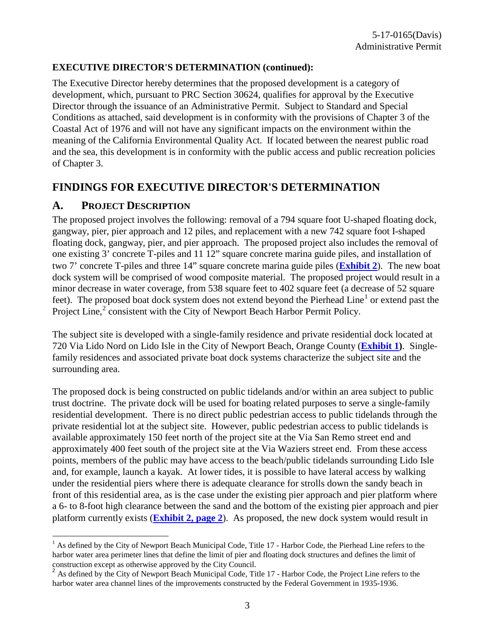#### **EXECUTIVE DIRECTOR'S DETERMINATION (continued):**

The Executive Director hereby determines that the proposed development is a category of development, which, pursuant to PRC Section 30624, qualifies for approval by the Executive Director through the issuance of an Administrative Permit. Subject to Standard and Special Conditions as attached, said development is in conformity with the provisions of Chapter 3 of the Coastal Act of 1976 and will not have any significant impacts on the environment within the meaning of the California Environmental Quality Act. If located between the nearest public road and the sea, this development is in conformity with the public access and public recreation policies of Chapter 3.

### **FINDINGS FOR EXECUTIVE DIRECTOR'S DETERMINATION**

### **A. PROJECT DESCRIPTION**

The proposed project involves the following: removal of a 794 square foot U-shaped floating dock, gangway, pier, pier approach and 12 piles, and replacement with a new 742 square foot I-shaped floating dock, gangway, pier, and pier approach. The proposed project also includes the removal of one existing 3' concrete T-piles and 11 12" square concrete marina guide piles, and installation of two 7' concrete T-piles and three 14" square concrete marina guide piles (**[Exhibit 2](https://documents.coastal.ca.gov/reports/2017/5/F7c/F7c-5-2017-exhibits.pdf)**). The new boat dock system will be comprised of wood composite material. The proposed project would result in a minor decrease in water coverage, from 538 square feet to 402 square feet (a decrease of 52 square feet). The proposed boat dock system does not extend beyond the Pierhead Line<sup>[1](#page-2-0)</sup> or extend past the Project Line,<sup>[2](#page-2-1)</sup> consistent with the City of Newport Beach Harbor Permit Policy.

The subject site is developed with a single-family residence and private residential dock located at 720 Via Lido Nord on Lido Isle in the City of Newport Beach, Orange County (**[Exhibit 1\)](https://documents.coastal.ca.gov/reports/2017/5/F7c/F7c-5-2017-exhibits.pdf)**. Singlefamily residences and associated private boat dock systems characterize the subject site and the surrounding area.

The proposed dock is being constructed on public tidelands and/or within an area subject to public trust doctrine. The private dock will be used for boating related purposes to serve a single-family residential development. There is no direct public pedestrian access to public tidelands through the private residential lot at the subject site. However, public pedestrian access to public tidelands is available approximately 150 feet north of the project site at the Via San Remo street end and approximately 400 feet south of the project site at the Via Waziers street end. From these access points, members of the public may have access to the beach/public tidelands surrounding Lido Isle and, for example, launch a kayak. At lower tides, it is possible to have lateral access by walking under the residential piers where there is adequate clearance for strolls down the sandy beach in front of this residential area, as is the case under the existing pier approach and pier platform where a 6- to 8-foot high clearance between the sand and the bottom of the existing pier approach and pier platform currently exists (**[Exhibit 2, page 2](https://documents.coastal.ca.gov/reports/2017/5/F7c/F7c-5-2017-exhibits.pdf)**). As proposed, the new dock system would result in

<span id="page-2-0"></span> $\overline{a}$  $<sup>1</sup>$  As defined by the City of Newport Beach Municipal Code, Title 17 - Harbor Code, the Pierhead Line refers to the</sup> harbor water area perimeter lines that define the limit of pier and floating dock structures and defines the limit of construction except as otherwise approved by the City Council.

<span id="page-2-1"></span> $2^{2}$  As defined by the City of Newport Beach Municipal Code, Title 17 - Harbor Code, the Project Line refers to the harbor water area channel lines of the improvements constructed by the Federal Government in 1935-1936.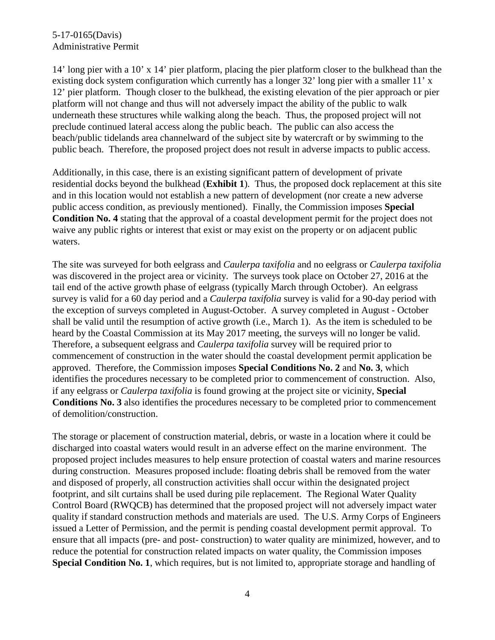14' long pier with a 10' x 14' pier platform, placing the pier platform closer to the bulkhead than the existing dock system configuration which currently has a longer 32' long pier with a smaller 11' x 12' pier platform. Though closer to the bulkhead, the existing elevation of the pier approach or pier platform will not change and thus will not adversely impact the ability of the public to walk underneath these structures while walking along the beach. Thus, the proposed project will not preclude continued lateral access along the public beach. The public can also access the beach/public tidelands area channelward of the subject site by watercraft or by swimming to the public beach. Therefore, the proposed project does not result in adverse impacts to public access.

Additionally, in this case, there is an existing significant pattern of development of private residential docks beyond the bulkhead (**Exhibit 1**). Thus, the proposed dock replacement at this site and in this location would not establish a new pattern of development (nor create a new adverse public access condition, as previously mentioned). Finally, the Commission imposes **Special Condition No. 4** stating that the approval of a coastal development permit for the project does not waive any public rights or interest that exist or may exist on the property or on adjacent public waters.

The site was surveyed for both eelgrass and *Caulerpa taxifolia* and no eelgrass or *Caulerpa taxifolia* was discovered in the project area or vicinity. The surveys took place on October 27, 2016 at the tail end of the active growth phase of eelgrass (typically March through October). An eelgrass survey is valid for a 60 day period and a *Caulerpa taxifolia* survey is valid for a 90-day period with the exception of surveys completed in August-October. A survey completed in August - October shall be valid until the resumption of active growth (i.e., March 1). As the item is scheduled to be heard by the Coastal Commission at its May 2017 meeting, the surveys will no longer be valid. Therefore, a subsequent eelgrass and *Caulerpa taxifolia* survey will be required prior to commencement of construction in the water should the coastal development permit application be approved. Therefore, the Commission imposes **Special Conditions No. 2** and **No. 3**, which identifies the procedures necessary to be completed prior to commencement of construction. Also, if any eelgrass or *Caulerpa taxifolia* is found growing at the project site or vicinity, **Special Conditions No. 3** also identifies the procedures necessary to be completed prior to commencement of demolition/construction.

The storage or placement of construction material, debris, or waste in a location where it could be discharged into coastal waters would result in an adverse effect on the marine environment. The proposed project includes measures to help ensure protection of coastal waters and marine resources during construction. Measures proposed include: floating debris shall be removed from the water and disposed of properly, all construction activities shall occur within the designated project footprint, and silt curtains shall be used during pile replacement. The Regional Water Quality Control Board (RWQCB) has determined that the proposed project will not adversely impact water quality if standard construction methods and materials are used. The U.S. Army Corps of Engineers issued a Letter of Permission, and the permit is pending coastal development permit approval. To ensure that all impacts (pre- and post- construction) to water quality are minimized, however, and to reduce the potential for construction related impacts on water quality, the Commission imposes **Special Condition No. 1**, which requires, but is not limited to, appropriate storage and handling of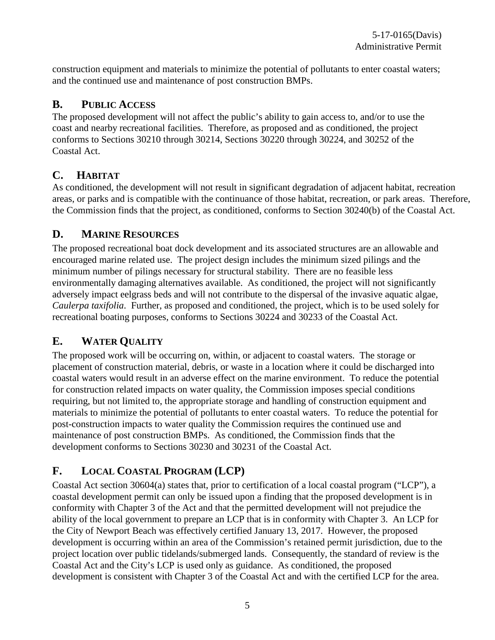construction equipment and materials to minimize the potential of pollutants to enter coastal waters; and the continued use and maintenance of post construction BMPs.

## **B. PUBLIC ACCESS**

The proposed development will not affect the public's ability to gain access to, and/or to use the coast and nearby recreational facilities. Therefore, as proposed and as conditioned, the project conforms to Sections 30210 through 30214, Sections 30220 through 30224, and 30252 of the Coastal Act.

## **C. HABITAT**

As conditioned, the development will not result in significant degradation of adjacent habitat, recreation areas, or parks and is compatible with the continuance of those habitat, recreation, or park areas. Therefore, the Commission finds that the project, as conditioned, conforms to Section 30240(b) of the Coastal Act.

## **D. MARINE RESOURCES**

The proposed recreational boat dock development and its associated structures are an allowable and encouraged marine related use. The project design includes the minimum sized pilings and the minimum number of pilings necessary for structural stability. There are no feasible less environmentally damaging alternatives available. As conditioned, the project will not significantly adversely impact eelgrass beds and will not contribute to the dispersal of the invasive aquatic algae, *Caulerpa taxifolia*. Further, as proposed and conditioned, the project, which is to be used solely for recreational boating purposes, conforms to Sections 30224 and 30233 of the Coastal Act.

# **E. WATER QUALITY**

The proposed work will be occurring on, within, or adjacent to coastal waters. The storage or placement of construction material, debris, or waste in a location where it could be discharged into coastal waters would result in an adverse effect on the marine environment. To reduce the potential for construction related impacts on water quality, the Commission imposes special conditions requiring, but not limited to, the appropriate storage and handling of construction equipment and materials to minimize the potential of pollutants to enter coastal waters. To reduce the potential for post-construction impacts to water quality the Commission requires the continued use and maintenance of post construction BMPs. As conditioned, the Commission finds that the development conforms to Sections 30230 and 30231 of the Coastal Act.

# **F. LOCAL COASTAL PROGRAM (LCP)**

Coastal Act section 30604(a) states that, prior to certification of a local coastal program ("LCP"), a coastal development permit can only be issued upon a finding that the proposed development is in conformity with Chapter 3 of the Act and that the permitted development will not prejudice the ability of the local government to prepare an LCP that is in conformity with Chapter 3. An LCP for the City of Newport Beach was effectively certified January 13, 2017. However, the proposed development is occurring within an area of the Commission's retained permit jurisdiction, due to the project location over public tidelands/submerged lands. Consequently, the standard of review is the Coastal Act and the City's LCP is used only as guidance. As conditioned, the proposed development is consistent with Chapter 3 of the Coastal Act and with the certified LCP for the area.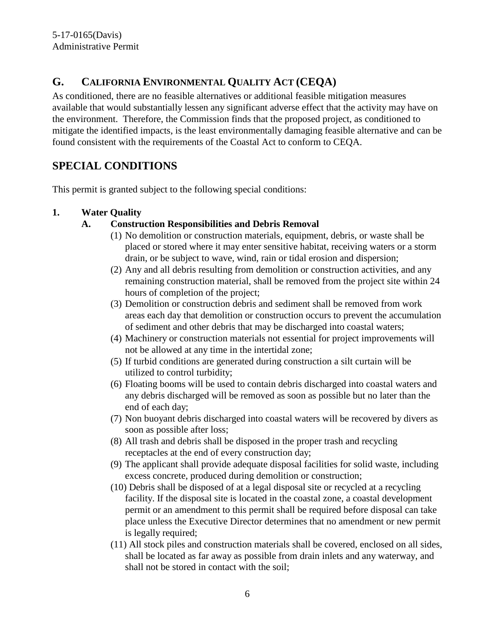# **G. CALIFORNIA ENVIRONMENTAL QUALITY ACT (CEQA)**

As conditioned, there are no feasible alternatives or additional feasible mitigation measures available that would substantially lessen any significant adverse effect that the activity may have on the environment. Therefore, the Commission finds that the proposed project, as conditioned to mitigate the identified impacts, is the least environmentally damaging feasible alternative and can be found consistent with the requirements of the Coastal Act to conform to CEQA.

## **SPECIAL CONDITIONS**

This permit is granted subject to the following special conditions:

### **1. Water Quality**

### **A. Construction Responsibilities and Debris Removal**

- (1) No demolition or construction materials, equipment, debris, or waste shall be placed or stored where it may enter sensitive habitat, receiving waters or a storm drain, or be subject to wave, wind, rain or tidal erosion and dispersion;
- (2) Any and all debris resulting from demolition or construction activities, and any remaining construction material, shall be removed from the project site within 24 hours of completion of the project;
- (3) Demolition or construction debris and sediment shall be removed from work areas each day that demolition or construction occurs to prevent the accumulation of sediment and other debris that may be discharged into coastal waters;
- (4) Machinery or construction materials not essential for project improvements will not be allowed at any time in the intertidal zone;
- (5) If turbid conditions are generated during construction a silt curtain will be utilized to control turbidity;
- (6) Floating booms will be used to contain debris discharged into coastal waters and any debris discharged will be removed as soon as possible but no later than the end of each day;
- (7) Non buoyant debris discharged into coastal waters will be recovered by divers as soon as possible after loss;
- (8) All trash and debris shall be disposed in the proper trash and recycling receptacles at the end of every construction day;
- (9) The applicant shall provide adequate disposal facilities for solid waste, including excess concrete, produced during demolition or construction;
- (10) Debris shall be disposed of at a legal disposal site or recycled at a recycling facility. If the disposal site is located in the coastal zone, a coastal development permit or an amendment to this permit shall be required before disposal can take place unless the Executive Director determines that no amendment or new permit is legally required;
- (11) All stock piles and construction materials shall be covered, enclosed on all sides, shall be located as far away as possible from drain inlets and any waterway, and shall not be stored in contact with the soil;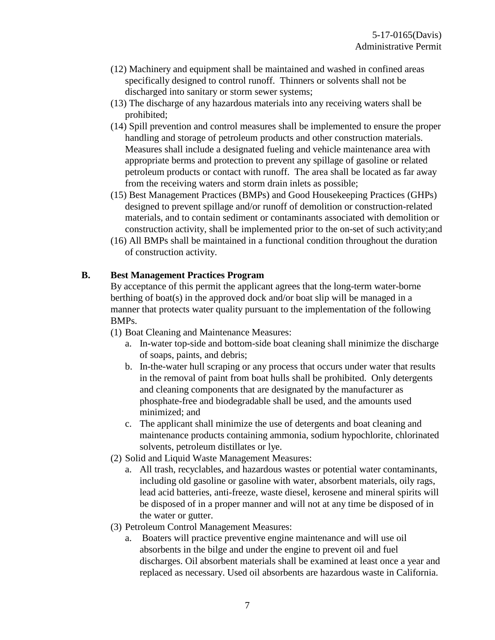- (12) Machinery and equipment shall be maintained and washed in confined areas specifically designed to control runoff. Thinners or solvents shall not be discharged into sanitary or storm sewer systems;
- (13) The discharge of any hazardous materials into any receiving waters shall be prohibited;
- (14) Spill prevention and control measures shall be implemented to ensure the proper handling and storage of petroleum products and other construction materials. Measures shall include a designated fueling and vehicle maintenance area with appropriate berms and protection to prevent any spillage of gasoline or related petroleum products or contact with runoff. The area shall be located as far away from the receiving waters and storm drain inlets as possible;
- (15) Best Management Practices (BMPs) and Good Housekeeping Practices (GHPs) designed to prevent spillage and/or runoff of demolition or construction-related materials, and to contain sediment or contaminants associated with demolition or construction activity, shall be implemented prior to the on-set of such activity;and
- (16) All BMPs shall be maintained in a functional condition throughout the duration of construction activity.

### **B. Best Management Practices Program**

By acceptance of this permit the applicant agrees that the long-term water-borne berthing of boat(s) in the approved dock and/or boat slip will be managed in a manner that protects water quality pursuant to the implementation of the following BMPs.

(1) Boat Cleaning and Maintenance Measures:

- a. In-water top-side and bottom-side boat cleaning shall minimize the discharge of soaps, paints, and debris;
- b. In-the-water hull scraping or any process that occurs under water that results in the removal of paint from boat hulls shall be prohibited. Only detergents and cleaning components that are designated by the manufacturer as phosphate-free and biodegradable shall be used, and the amounts used minimized; and
- c. The applicant shall minimize the use of detergents and boat cleaning and maintenance products containing ammonia, sodium hypochlorite, chlorinated solvents, petroleum distillates or lye.
- (2) Solid and Liquid Waste Management Measures:
	- a. All trash, recyclables, and hazardous wastes or potential water contaminants, including old gasoline or gasoline with water, absorbent materials, oily rags, lead acid batteries, anti-freeze, waste diesel, kerosene and mineral spirits will be disposed of in a proper manner and will not at any time be disposed of in the water or gutter.
- (3) Petroleum Control Management Measures:
	- a. Boaters will practice preventive engine maintenance and will use oil absorbents in the bilge and under the engine to prevent oil and fuel discharges. Oil absorbent materials shall be examined at least once a year and replaced as necessary. Used oil absorbents are hazardous waste in California.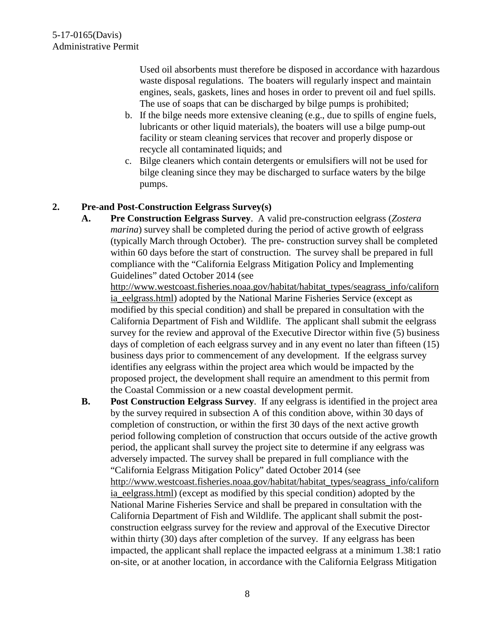Used oil absorbents must therefore be disposed in accordance with hazardous waste disposal regulations. The boaters will regularly inspect and maintain engines, seals, gaskets, lines and hoses in order to prevent oil and fuel spills. The use of soaps that can be discharged by bilge pumps is prohibited;

- b. If the bilge needs more extensive cleaning (e.g., due to spills of engine fuels, lubricants or other liquid materials), the boaters will use a bilge pump-out facility or steam cleaning services that recover and properly dispose or recycle all contaminated liquids; and
- c. Bilge cleaners which contain detergents or emulsifiers will not be used for bilge cleaning since they may be discharged to surface waters by the bilge pumps.

### **2. Pre-and Post-Construction Eelgrass Survey(s)**

**A. Pre Construction Eelgrass Survey**. A valid pre-construction eelgrass (*Zostera marina*) survey shall be completed during the period of active growth of eelgrass (typically March through October). The pre- construction survey shall be completed within 60 days before the start of construction. The survey shall be prepared in full compliance with the "California Eelgrass Mitigation Policy and Implementing Guidelines" dated October 2014 (see

[http://www.westcoast.fisheries.noaa.gov/habitat/habitat\\_types/seagrass\\_info/californ](http://www.westcoast.fisheries.noaa.gov/habitat/habitat_types/seagrass_info/california_eelgrass.html) ia eelgrass.html) adopted by the National Marine Fisheries Service (except as modified by this special condition) and shall be prepared in consultation with the California Department of Fish and Wildlife. The applicant shall submit the eelgrass survey for the review and approval of the Executive Director within five (5) business days of completion of each eelgrass survey and in any event no later than fifteen (15) business days prior to commencement of any development. If the eelgrass survey identifies any eelgrass within the project area which would be impacted by the proposed project, the development shall require an amendment to this permit from the Coastal Commission or a new coastal development permit.

**B. Post Construction Eelgrass Survey**. If any eelgrass is identified in the project area by the survey required in subsection A of this condition above, within 30 days of completion of construction, or within the first 30 days of the next active growth period following completion of construction that occurs outside of the active growth period, the applicant shall survey the project site to determine if any eelgrass was adversely impacted. The survey shall be prepared in full compliance with the "California Eelgrass Mitigation Policy" dated October 2014 (see [http://www.westcoast.fisheries.noaa.gov/habitat/habitat\\_types/seagrass\\_info/californ](http://www.westcoast.fisheries.noaa.gov/habitat/habitat_types/seagrass_info/california_eelgrass.html) ia eelgrass.html) (except as modified by this special condition) adopted by the National Marine Fisheries Service and shall be prepared in consultation with the California Department of Fish and Wildlife. The applicant shall submit the postconstruction eelgrass survey for the review and approval of the Executive Director within thirty (30) days after completion of the survey. If any eelgrass has been impacted, the applicant shall replace the impacted eelgrass at a minimum 1.38:1 ratio on-site, or at another location, in accordance with the California Eelgrass Mitigation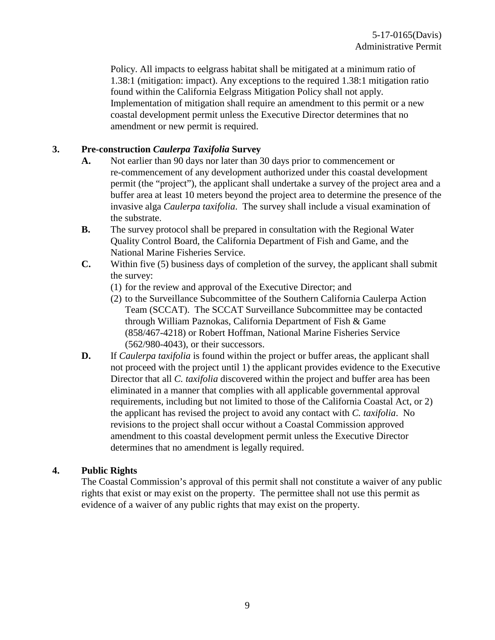Policy. All impacts to eelgrass habitat shall be mitigated at a minimum ratio of 1.38:1 (mitigation: impact). Any exceptions to the required 1.38:1 mitigation ratio found within the California Eelgrass Mitigation Policy shall not apply. Implementation of mitigation shall require an amendment to this permit or a new coastal development permit unless the Executive Director determines that no amendment or new permit is required.

#### **3. Pre-construction** *Caulerpa Taxifolia* **Survey**

- **A.** Not earlier than 90 days nor later than 30 days prior to commencement or re-commencement of any development authorized under this coastal development permit (the "project"), the applicant shall undertake a survey of the project area and a buffer area at least 10 meters beyond the project area to determine the presence of the invasive alga *Caulerpa taxifolia*. The survey shall include a visual examination of the substrate.
- **B.** The survey protocol shall be prepared in consultation with the Regional Water Quality Control Board, the California Department of Fish and Game, and the National Marine Fisheries Service.
- **C.** Within five (5) business days of completion of the survey, the applicant shall submit the survey:
	- (1) for the review and approval of the Executive Director; and
	- (2) to the Surveillance Subcommittee of the Southern California Caulerpa Action Team (SCCAT). The SCCAT Surveillance Subcommittee may be contacted through William Paznokas, California Department of Fish & Game (858/467-4218) or Robert Hoffman, National Marine Fisheries Service (562/980-4043), or their successors.
- **D.** If *Caulerpa taxifolia* is found within the project or buffer areas, the applicant shall not proceed with the project until 1) the applicant provides evidence to the Executive Director that all *C. taxifolia* discovered within the project and buffer area has been eliminated in a manner that complies with all applicable governmental approval requirements, including but not limited to those of the California Coastal Act, or 2) the applicant has revised the project to avoid any contact with *C. taxifolia*. No revisions to the project shall occur without a Coastal Commission approved amendment to this coastal development permit unless the Executive Director determines that no amendment is legally required.

#### **4. Public Rights**

The Coastal Commission's approval of this permit shall not constitute a waiver of any public rights that exist or may exist on the property. The permittee shall not use this permit as evidence of a waiver of any public rights that may exist on the property.